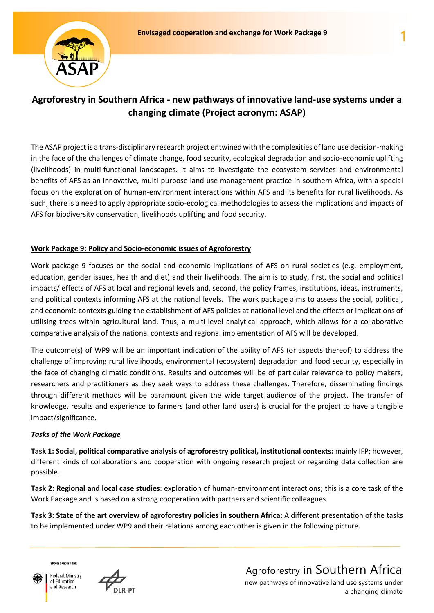

# **Agroforestry in Southern Africa - new pathways of innovative land-use systems under a changing climate (Project acronym: ASAP)**

The ASAP project is a trans-disciplinary research project entwined with the complexities of land use decision-making in the face of the challenges of climate change, food security, ecological degradation and socio-economic uplifting (livelihoods) in multi-functional landscapes. It aims to investigate the ecosystem services and environmental benefits of AFS as an innovative, multi-purpose land-use management practice in southern Africa, with a special focus on the exploration of human-environment interactions within AFS and its benefits for rural livelihoods. As such, there is a need to apply appropriate socio-ecological methodologies to assess the implications and impacts of AFS for biodiversity conservation, livelihoods uplifting and food security.

## **Work Package 9: Policy and Socio-economic issues of Agroforestry**

Work package 9 focuses on the social and economic implications of AFS on rural societies (e.g. employment, education, gender issues, health and diet) and their livelihoods. The aim is to study, first, the social and political impacts/ effects of AFS at local and regional levels and, second, the policy frames, institutions, ideas, instruments, and political contexts informing AFS at the national levels. The work package aims to assess the social, political, and economic contexts guiding the establishment of AFS policies at national level and the effects or implications of utilising trees within agricultural land. Thus, a multi-level analytical approach, which allows for a collaborative comparative analysis of the national contexts and regional implementation of AFS will be developed.

The outcome(s) of WP9 will be an important indication of the ability of AFS (or aspects thereof) to address the challenge of improving rural livelihoods, environmental (ecosystem) degradation and food security, especially in the face of changing climatic conditions. Results and outcomes will be of particular relevance to policy makers, researchers and practitioners as they seek ways to address these challenges. Therefore, disseminating findings through different methods will be paramount given the wide target audience of the project. The transfer of knowledge, results and experience to farmers (and other land users) is crucial for the project to have a tangible impact/significance.

### *Tasks of the Work Package*

**Task 1: Social, political comparative analysis of agroforestry political, institutional contexts:** mainly IFP; however, different kinds of collaborations and cooperation with ongoing research project or regarding data collection are possible.

**Task 2: Regional and local case studies**: exploration of human-environment interactions; this is a core task of the Work Package and is based on a strong cooperation with partners and scientific colleagues.

**Task 3: State of the art overview of agroforestry policies in southern Africa:** A different presentation of the tasks to be implemented under WP9 and their relations among each other is given in the following picture.

SPONSORED BY THE

Federal Ministry of Education and Research



new pathways of innovative land use systems under a changing climate Agroforestry in Southern Africa